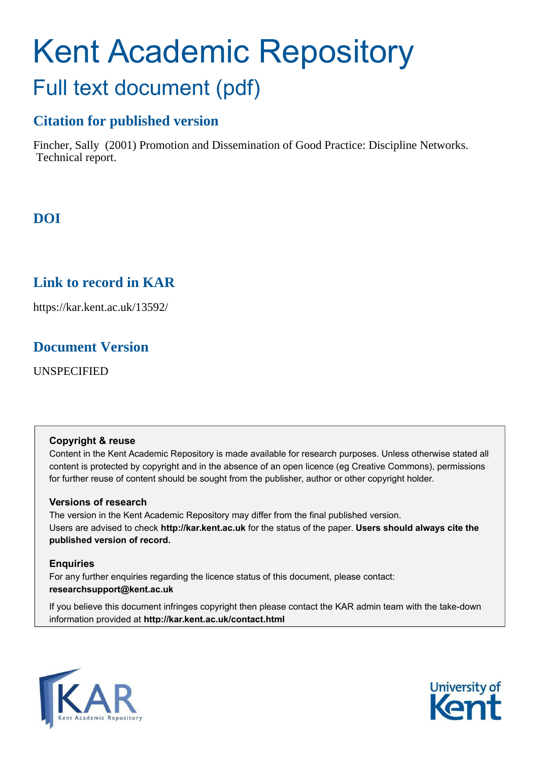# Kent Academic Repository Full text document (pdf)

### **Citation for published version**

Fincher, Sally (2001) Promotion and Dissemination of Good Practice: Discipline Networks. Technical report.

### **DOI**

### **Link to record in KAR**

https://kar.kent.ac.uk/13592/

### **Document Version**

UNSPECIFIED

#### **Copyright & reuse**

Content in the Kent Academic Repository is made available for research purposes. Unless otherwise stated all content is protected by copyright and in the absence of an open licence (eg Creative Commons), permissions for further reuse of content should be sought from the publisher, author or other copyright holder.

#### **Versions of research**

The version in the Kent Academic Repository may differ from the final published version. Users are advised to check **http://kar.kent.ac.uk** for the status of the paper. **Users should always cite the published version of record.**

#### **Enquiries**

For any further enquiries regarding the licence status of this document, please contact: **researchsupport@kent.ac.uk**

If you believe this document infringes copyright then please contact the KAR admin team with the take-down information provided at **http://kar.kent.ac.uk/contact.html**



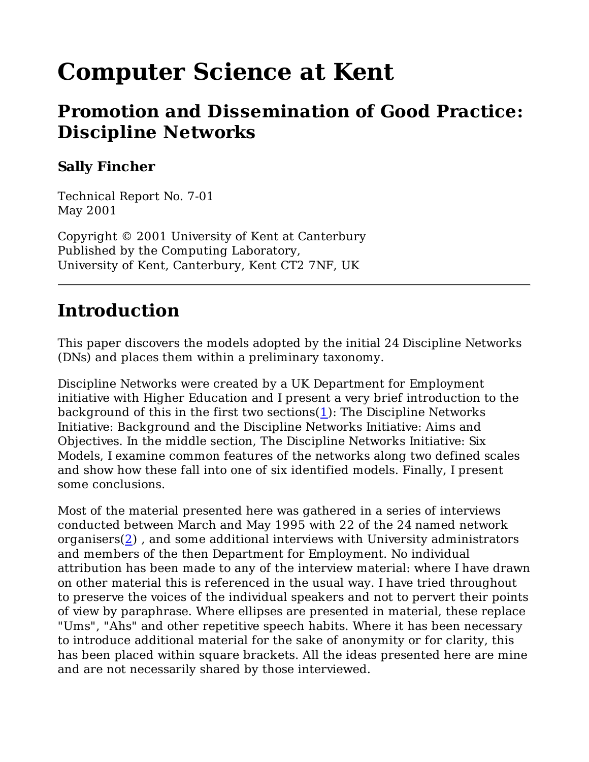# **Computer Science at Kent**

### **Promotion and Dissemination of Good Practice: Discipline Networks**

### **Sally Fincher**

Technical Report No. 7-01 May 2001

Copyright © 2001 University of Kent at Canterbury Published by the Computing Laboratory, University of Kent, Canterbury, Kent CT2 7NF, UK

# **Introduction**

This paper discovers the models adopted by the initial 24 Discipline Networks (DNs) and places them within a preliminary taxonomy.

Discipline Networks were created by a UK Department for Employment initiative with Higher Education and I present a very brief introduction to the background of this in the first two sections(1): The Discipline Networks Initiative: Background and the Discipline Networks Initiative: Aims and Objectives. In the middle section, The Discipline Networks Initiative: Six Models, I examine common features of the networks along two defined scales and show how these fall into one of six identified models. Finally, I present some conclusions.

Most of the material presented here was gathered in a series of interviews conducted between March and May 1995 with 22 of the 24 named network organisers $(2)$ , and some additional interviews with University administrators and members of the then Department for Employment. No individual attribution has been made to any of the interview material: where I have drawn on other material this is referenced in the usual way. I have tried throughout to preserve the voices of the individual speakers and not to pervert their points of view by paraphrase. Where ellipses are presented in material, these replace "Ums", "Ahs" and other repetitive speech habits. Where it has been necessary to introduce additional material for the sake of anonymity or for clarity, this has been placed within square brackets. All the ideas presented here are mine and are not necessarily shared by those interviewed.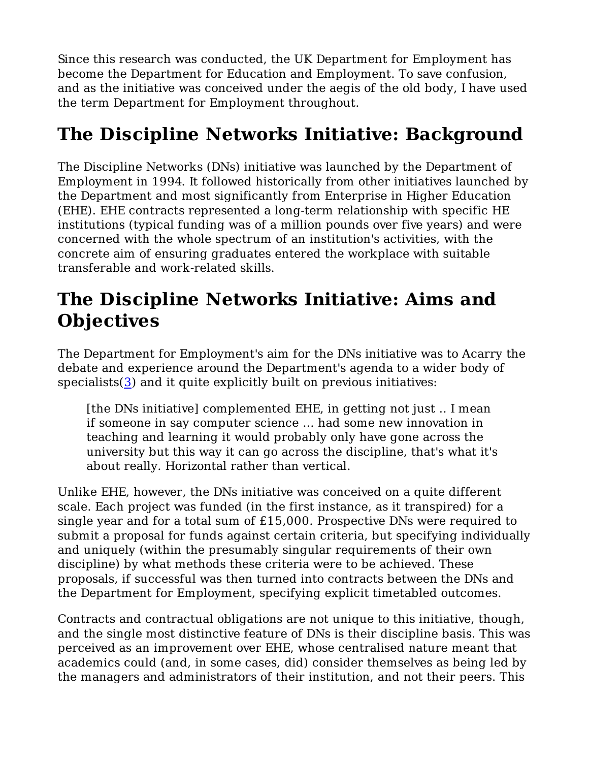Since this research was conducted, the UK Department for Employment has become the Department for Education and Employment. To save confusion, and as the initiative was conceived under the aegis of the old body, I have used the term Department for Employment throughout.

# **The Discipline Networks Initiative: Background**

The Discipline Networks (DNs) initiative was launched by the Department of Employment in 1994. It followed historically from other initiatives launched by the Department and most significantly from Enterprise in Higher Education (EHE). EHE contracts represented a long-term relationship with specific HE institutions (typical funding was of a million pounds over five years) and were concerned with the whole spectrum of an institution's activities, with the concrete aim of ensuring graduates entered the workplace with suitable transferable and work-related skills.

# **The Discipline Networks Initiative: Aims and Objectives**

The Department for Employment's aim for the DNs initiative was to Acarry the debate and experience around the Department's agenda to a wider body of specialists $(3)$  and it quite explicitly built on previous initiatives:

[the DNs initiative] complemented EHE, in getting not just .. I mean if someone in say computer science ... had some new innovation in teaching and learning it would probably only have gone across the university but this way it can go across the discipline, that's what it's about really. Horizontal rather than vertical.

Unlike EHE, however, the DNs initiative was conceived on a quite different scale. Each project was funded (in the first instance, as it transpired) for a single year and for a total sum of £15,000. Prospective DNs were required to submit a proposal for funds against certain criteria, but specifying individually and uniquely (within the presumably singular requirements of their own discipline) by what methods these criteria were to be achieved. These proposals, if successful was then turned into contracts between the DNs and the Department for Employment, specifying explicit timetabled outcomes.

Contracts and contractual obligations are not unique to this initiative, though, and the single most distinctive feature of DNs is their discipline basis. This was perceived as an improvement over EHE, whose centralised nature meant that academics could (and, in some cases, did) consider themselves as being led by the managers and administrators of their institution, and not their peers. This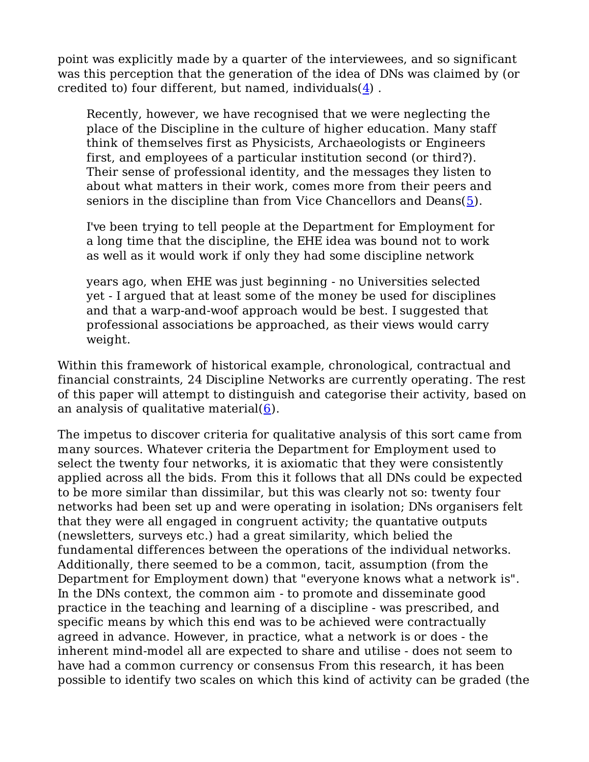point was explicitly made by a quarter of the interviewees, and so significant was this perception that the generation of the idea of DNs was claimed by (or credited to) four different, but named, individuals(4) .

Recently, however, we have recognised that we were neglecting the place of the Discipline in the culture of higher education. Many staff think of themselves first as Physicists, Archaeologists or Engineers first, and employees of a particular institution second (or third?). Their sense of professional identity, and the messages they listen to about what matters in their work, comes more from their peers and seniors in the discipline than from Vice Chancellors and Deans $(5)$ .

I've been trying to tell people at the Department for Employment for a long time that the discipline, the EHE idea was bound not to work as well as it would work if only they had some discipline network

years ago, when EHE was just beginning - no Universities selected yet - I argued that at least some of the money be used for disciplines and that a warp-and-woof approach would be best. I suggested that professional associations be approached, as their views would carry weight.

Within this framework of historical example, chronological, contractual and financial constraints, 24 Discipline Networks are currently operating. The rest of this paper will attempt to distinguish and categorise their activity, based on an analysis of qualitative material $(6)$ .

The impetus to discover criteria for qualitative analysis of this sort came from many sources. Whatever criteria the Department for Employment used to select the twenty four networks, it is axiomatic that they were consistently applied across all the bids. From this it follows that all DNs could be expected to be more similar than dissimilar, but this was clearly not so: twenty four networks had been set up and were operating in isolation; DNs organisers felt that they were all engaged in congruent activity; the quantative outputs (newsletters, surveys etc.) had a great similarity, which belied the fundamental differences between the operations of the individual networks. Additionally, there seemed to be a common, tacit, assumption (from the Department for Employment down) that "everyone knows what a network is". In the DNs context, the common aim - to promote and disseminate good practice in the teaching and learning of a discipline - was prescribed, and specific means by which this end was to be achieved were contractually agreed in advance. However, in practice, what a network is or does - the inherent mind-model all are expected to share and utilise - does not seem to have had a common currency or consensus From this research, it has been possible to identify two scales on which this kind of activity can be graded (the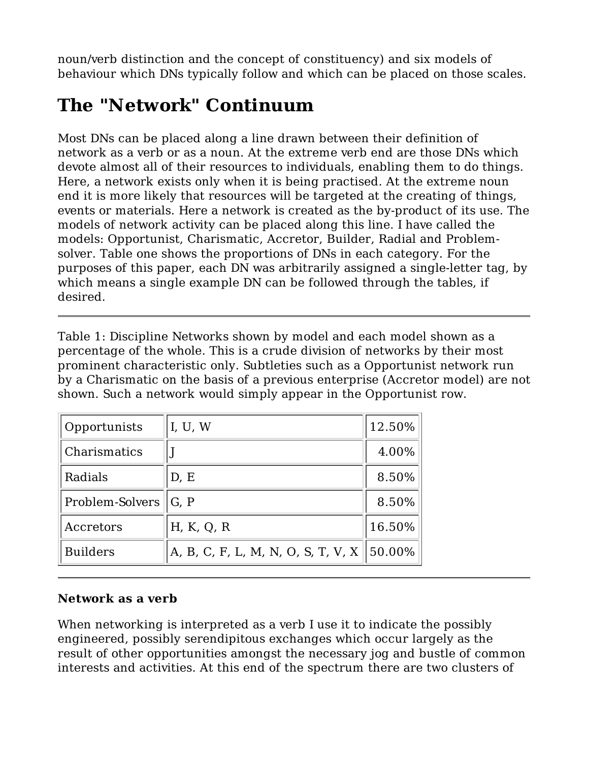noun/verb distinction and the concept of constituency) and six models of behaviour which DNs typically follow and which can be placed on those scales.

# **The "Network" Continuum**

Most DNs can be placed along a line drawn between their definition of network as a verb or as a noun. At the extreme verb end are those DNs which devote almost all of their resources to individuals, enabling them to do things. Here, a network exists only when it is being practised. At the extreme noun end it is more likely that resources will be targeted at the creating of things, events or materials. Here a network is created as the by-product of its use. The models of network activity can be placed along this line. I have called the models: Opportunist, Charismatic, Accretor, Builder, Radial and Problemsolver. Table one shows the proportions of DNs in each category. For the purposes of this paper, each DN was arbitrarily assigned a single-letter tag, by which means a single example DN can be followed through the tables, if desired.

Table 1: Discipline Networks shown by model and each model shown as a percentage of the whole. This is a crude division of networks by their most prominent characteristic only. Subtleties such as a Opportunist network run by a Charismatic on the basis of a previous enterprise (Accretor model) are not shown. Such a network would simply appear in the Opportunist row.

| Opportunists    | I, U, W                            | 12.50% |
|-----------------|------------------------------------|--------|
| Charismatics    |                                    | 4.00%  |
| Radials         | D, E                               | 8.50%  |
| Problem-Solvers | G, P                               | 8.50%  |
| Accretors       | H, K, Q, R                         | 16.50% |
| <b>Builders</b> | A, B, C, F, L, M, N, O, S, T, V, X | 50.00% |

#### **Network as a verb**

When networking is interpreted as a verb I use it to indicate the possibly engineered, possibly serendipitous exchanges which occur largely as the result of other opportunities amongst the necessary jog and bustle of common interests and activities. At this end of the spectrum there are two clusters of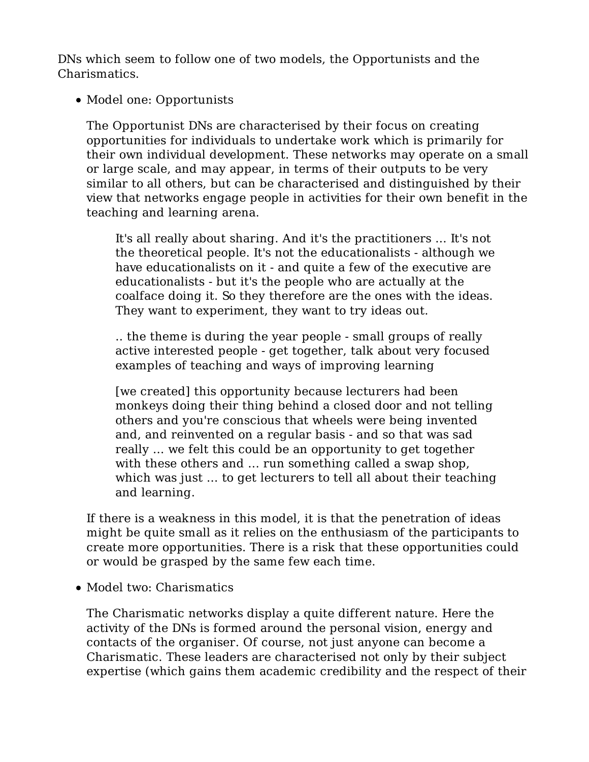DNs which seem to follow one of two models, the Opportunists and the Charismatics.

• Model one: Opportunists

The Opportunist DNs are characterised by their focus on creating opportunities for individuals to undertake work which is primarily for their own individual development. These networks may operate on a small or large scale, and may appear, in terms of their outputs to be very similar to all others, but can be characterised and distinguished by their view that networks engage people in activities for their own benefit in the teaching and learning arena.

It's all really about sharing. And it's the practitioners ... It's not the theoretical people. It's not the educationalists - although we have educationalists on it - and quite a few of the executive are educationalists - but it's the people who are actually at the coalface doing it. So they therefore are the ones with the ideas. They want to experiment, they want to try ideas out.

.. the theme is during the year people - small groups of really active interested people - get together, talk about very focused examples of teaching and ways of improving learning

[we created] this opportunity because lecturers had been monkeys doing their thing behind a closed door and not telling others and you're conscious that wheels were being invented and, and reinvented on a regular basis - and so that was sad really ... we felt this could be an opportunity to get together with these others and ... run something called a swap shop, which was just ... to get lecturers to tell all about their teaching and learning.

If there is a weakness in this model, it is that the penetration of ideas might be quite small as it relies on the enthusiasm of the participants to create more opportunities. There is a risk that these opportunities could or would be grasped by the same few each time.

• Model two: Charismatics

The Charismatic networks display a quite different nature. Here the activity of the DNs is formed around the personal vision, energy and contacts of the organiser. Of course, not just anyone can become a Charismatic. These leaders are characterised not only by their subject expertise (which gains them academic credibility and the respect of their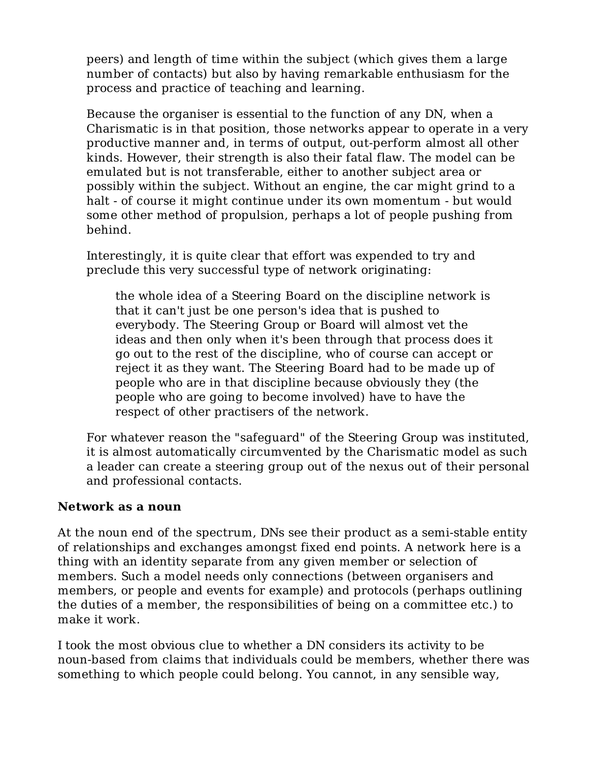peers) and length of time within the subject (which gives them a large number of contacts) but also by having remarkable enthusiasm for the process and practice of teaching and learning.

Because the organiser is essential to the function of any DN, when a Charismatic is in that position, those networks appear to operate in a very productive manner and, in terms of output, out-perform almost all other kinds. However, their strength is also their fatal flaw. The model can be emulated but is not transferable, either to another subject area or possibly within the subject. Without an engine, the car might grind to a halt - of course it might continue under its own momentum - but would some other method of propulsion, perhaps a lot of people pushing from behind.

Interestingly, it is quite clear that effort was expended to try and preclude this very successful type of network originating:

the whole idea of a Steering Board on the discipline network is that it can't just be one person's idea that is pushed to everybody. The Steering Group or Board will almost vet the ideas and then only when it's been through that process does it go out to the rest of the discipline, who of course can accept or reject it as they want. The Steering Board had to be made up of people who are in that discipline because obviously they (the people who are going to become involved) have to have the respect of other practisers of the network.

For whatever reason the "safeguard" of the Steering Group was instituted, it is almost automatically circumvented by the Charismatic model as such a leader can create a steering group out of the nexus out of their personal and professional contacts.

#### **Network as a noun**

At the noun end of the spectrum, DNs see their product as a semi-stable entity of relationships and exchanges amongst fixed end points. A network here is a thing with an identity separate from any given member or selection of members. Such a model needs only connections (between organisers and members, or people and events for example) and protocols (perhaps outlining the duties of a member, the responsibilities of being on a committee etc.) to make it work.

I took the most obvious clue to whether a DN considers its activity to be noun-based from claims that individuals could be members, whether there was something to which people could belong. You cannot, in any sensible way,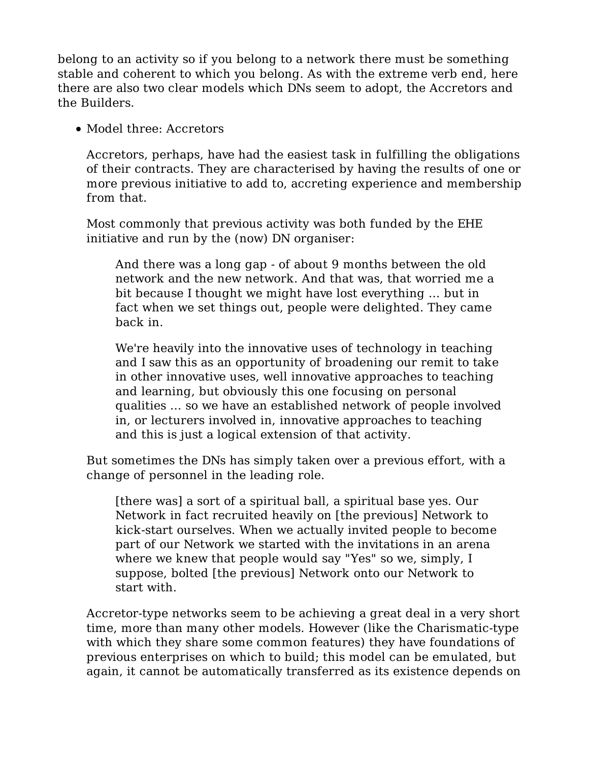belong to an activity so if you belong to a network there must be something stable and coherent to which you belong. As with the extreme verb end, here there are also two clear models which DNs seem to adopt, the Accretors and the Builders.

• Model three: Accretors

Accretors, perhaps, have had the easiest task in fulfilling the obligations of their contracts. They are characterised by having the results of one or more previous initiative to add to, accreting experience and membership from that.

Most commonly that previous activity was both funded by the EHE initiative and run by the (now) DN organiser:

And there was a long gap - of about 9 months between the old network and the new network. And that was, that worried me a bit because I thought we might have lost everything ... but in fact when we set things out, people were delighted. They came back in.

We're heavily into the innovative uses of technology in teaching and I saw this as an opportunity of broadening our remit to take in other innovative uses, well innovative approaches to teaching and learning, but obviously this one focusing on personal qualities ... so we have an established network of people involved in, or lecturers involved in, innovative approaches to teaching and this is just a logical extension of that activity.

But sometimes the DNs has simply taken over a previous effort, with a change of personnel in the leading role.

[there was] a sort of a spiritual ball, a spiritual base yes. Our Network in fact recruited heavily on [the previous] Network to kick-start ourselves. When we actually invited people to become part of our Network we started with the invitations in an arena where we knew that people would say "Yes" so we, simply, I suppose, bolted [the previous] Network onto our Network to start with.

Accretor-type networks seem to be achieving a great deal in a very short time, more than many other models. However (like the Charismatic-type with which they share some common features) they have foundations of previous enterprises on which to build; this model can be emulated, but again, it cannot be automatically transferred as its existence depends on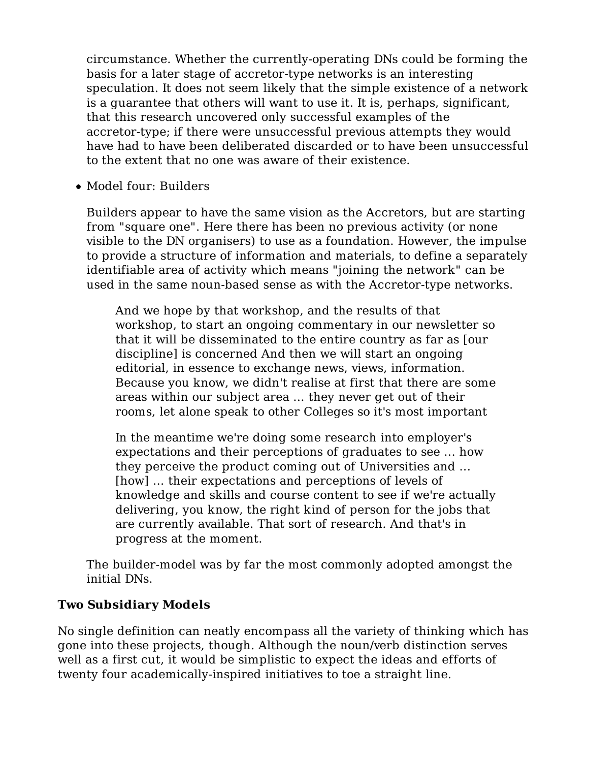circumstance. Whether the currently-operating DNs could be forming the basis for a later stage of accretor-type networks is an interesting speculation. It does not seem likely that the simple existence of a network is a guarantee that others will want to use it. It is, perhaps, significant, that this research uncovered only successful examples of the accretor-type; if there were unsuccessful previous attempts they would have had to have been deliberated discarded or to have been unsuccessful to the extent that no one was aware of their existence.

• Model four: Builders

Builders appear to have the same vision as the Accretors, but are starting from "square one". Here there has been no previous activity (or none visible to the DN organisers) to use as a foundation. However, the impulse to provide a structure of information and materials, to define a separately identifiable area of activity which means "joining the network" can be used in the same noun-based sense as with the Accretor-type networks.

And we hope by that workshop, and the results of that workshop, to start an ongoing commentary in our newsletter so that it will be disseminated to the entire country as far as [our discipline] is concerned And then we will start an ongoing editorial, in essence to exchange news, views, information. Because you know, we didn't realise at first that there are some areas within our subject area ... they never get out of their rooms, let alone speak to other Colleges so it's most important

In the meantime we're doing some research into employer's expectations and their perceptions of graduates to see ... how they perceive the product coming out of Universities and ... [how] ... their expectations and perceptions of levels of knowledge and skills and course content to see if we're actually delivering, you know, the right kind of person for the jobs that are currently available. That sort of research. And that's in progress at the moment.

The builder-model was by far the most commonly adopted amongst the initial DNs.

#### **Two Subsidiary Models**

No single definition can neatly encompass all the variety of thinking which has gone into these projects, though. Although the noun/verb distinction serves well as a first cut, it would be simplistic to expect the ideas and efforts of twenty four academically-inspired initiatives to toe a straight line.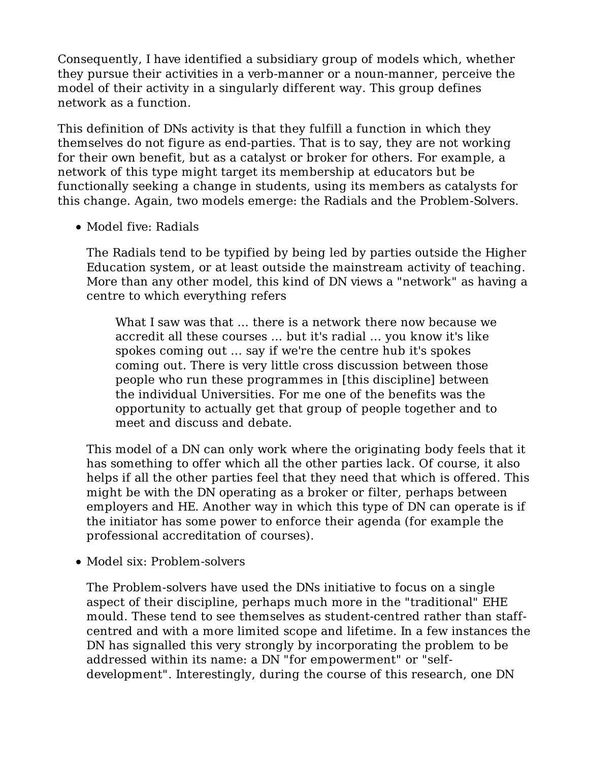Consequently, I have identified a subsidiary group of models which, whether they pursue their activities in a verb-manner or a noun-manner, perceive the model of their activity in a singularly different way. This group defines network as a function.

This definition of DNs activity is that they fulfill a function in which they themselves do not figure as end-parties. That is to say, they are not working for their own benefit, but as a catalyst or broker for others. For example, a network of this type might target its membership at educators but be functionally seeking a change in students, using its members as catalysts for this change. Again, two models emerge: the Radials and the Problem-Solvers.

• Model five: Radials

The Radials tend to be typified by being led by parties outside the Higher Education system, or at least outside the mainstream activity of teaching. More than any other model, this kind of DN views a "network" as having a centre to which everything refers

What I saw was that ... there is a network there now because we accredit all these courses ... but it's radial ... you know it's like spokes coming out ... say if we're the centre hub it's spokes coming out. There is very little cross discussion between those people who run these programmes in [this discipline] between the individual Universities. For me one of the benefits was the opportunity to actually get that group of people together and to meet and discuss and debate.

This model of a DN can only work where the originating body feels that it has something to offer which all the other parties lack. Of course, it also helps if all the other parties feel that they need that which is offered. This might be with the DN operating as a broker or filter, perhaps between employers and HE. Another way in which this type of DN can operate is if the initiator has some power to enforce their agenda (for example the professional accreditation of courses).

• Model six: Problem-solvers

The Problem-solvers have used the DNs initiative to focus on a single aspect of their discipline, perhaps much more in the "traditional" EHE mould. These tend to see themselves as student-centred rather than staffcentred and with a more limited scope and lifetime. In a few instances the DN has signalled this very strongly by incorporating the problem to be addressed within its name: a DN "for empowerment" or "selfdevelopment". Interestingly, during the course of this research, one DN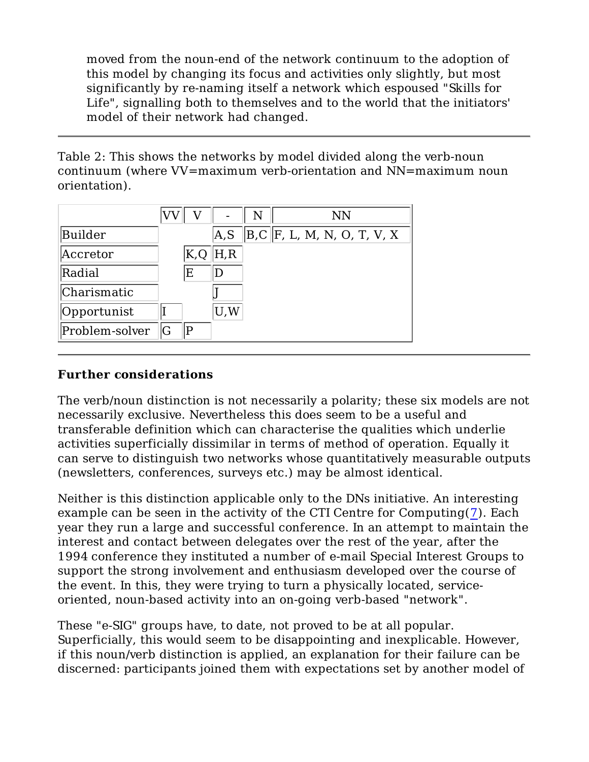moved from the noun-end of the network continuum to the adoption of this model by changing its focus and activities only slightly, but most significantly by re-naming itself a network which espoused "Skills for Life", signalling both to themselves and to the world that the initiators' model of their network had changed.

Table 2: This shows the networks by model divided along the verb-noun continuum (where VV=maximum verb-orientation and NN=maximum noun orientation).

|                |    |     |      | N | NN                               |
|----------------|----|-----|------|---|----------------------------------|
| Builder        |    |     | A, S |   | $\ B,C\ F$ , L, M, N, O, T, V, X |
| Accretor       |    | K,Q | H, R |   |                                  |
| Radial         |    | E   | I)   |   |                                  |
| Charismatic    |    |     |      |   |                                  |
| Opportunist    |    |     | U,W  |   |                                  |
| Problem-solver | IG | P   |      |   |                                  |

#### **Further considerations**

The verb/noun distinction is not necessarily a polarity; these six models are not necessarily exclusive. Nevertheless this does seem to be a useful and transferable definition which can characterise the qualities which underlie activities superficially dissimilar in terms of method of operation. Equally it can serve to distinguish two networks whose quantitatively measurable outputs (newsletters, conferences, surveys etc.) may be almost identical.

Neither is this distinction applicable only to the DNs initiative. An interesting example can be seen in the activity of the CTI Centre for Computing(7). Each year they run a large and successful conference. In an attempt to maintain the interest and contact between delegates over the rest of the year, after the 1994 conference they instituted a number of e-mail Special Interest Groups to support the strong involvement and enthusiasm developed over the course of the event. In this, they were trying to turn a physically located, serviceoriented, noun-based activity into an on-going verb-based "network".

These "e-SIG" groups have, to date, not proved to be at all popular. Superficially, this would seem to be disappointing and inexplicable. However, if this noun/verb distinction is applied, an explanation for their failure can be discerned: participants joined them with expectations set by another model of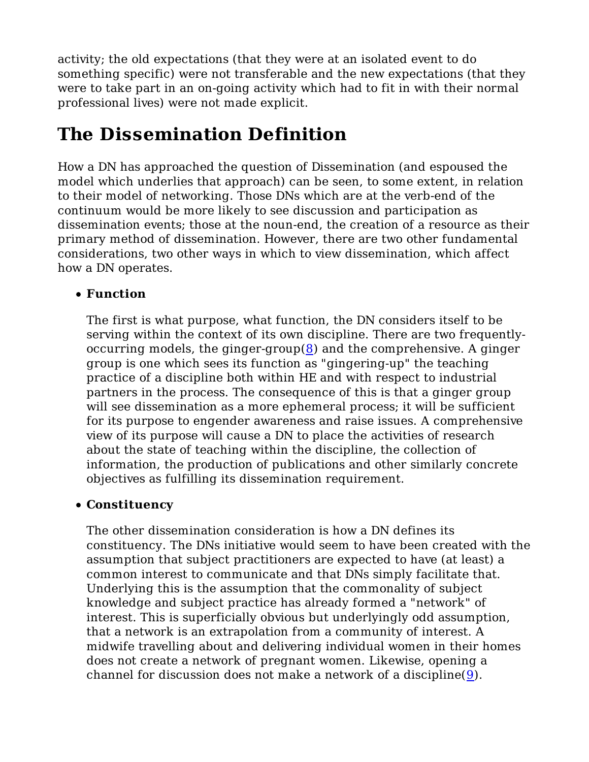activity; the old expectations (that they were at an isolated event to do something specific) were not transferable and the new expectations (that they were to take part in an on-going activity which had to fit in with their normal professional lives) were not made explicit.

# **The Dissemination Definition**

How a DN has approached the question of Dissemination (and espoused the model which underlies that approach) can be seen, to some extent, in relation to their model of networking. Those DNs which are at the verb-end of the continuum would be more likely to see discussion and participation as dissemination events; those at the noun-end, the creation of a resource as their primary method of dissemination. However, there are two other fundamental considerations, two other ways in which to view dissemination, which affect how a DN operates.

### **Function**

The first is what purpose, what function, the DN considers itself to be serving within the context of its own discipline. There are two frequentlyoccurring models, the ginger-group $(8)$  and the comprehensive. A ginger group is one which sees its function as "gingering-up" the teaching practice of a discipline both within HE and with respect to industrial partners in the process. The consequence of this is that a ginger group will see dissemination as a more ephemeral process; it will be sufficient for its purpose to engender awareness and raise issues. A comprehensive view of its purpose will cause a DN to place the activities of research about the state of teaching within the discipline, the collection of information, the production of publications and other similarly concrete objectives as fulfilling its dissemination requirement.

### **Constituency**

The other dissemination consideration is how a DN defines its constituency. The DNs initiative would seem to have been created with the assumption that subject practitioners are expected to have (at least) a common interest to communicate and that DNs simply facilitate that. Underlying this is the assumption that the commonality of subject knowledge and subject practice has already formed a "network" of interest. This is superficially obvious but underlyingly odd assumption, that a network is an extrapolation from a community of interest. A midwife travelling about and delivering individual women in their homes does not create a network of pregnant women. Likewise, opening a channel for discussion does not make a network of a discipline(9).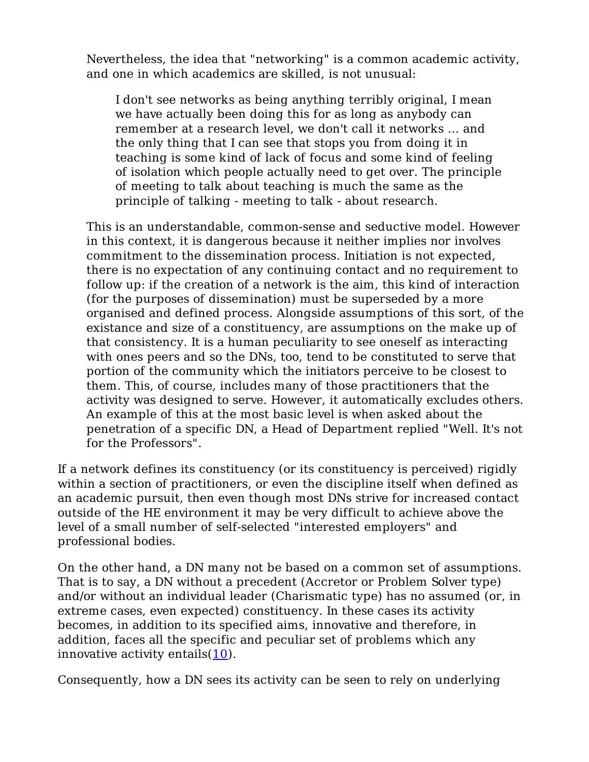Nevertheless, the idea that "networking" is a common academic activity, and one in which academics are skilled, is not unusual:

I don't see networks as being anything terribly original, I mean we have actually been doing this for as long as anybody can remember at a research level, we don't call it networks ... and the only thing that I can see that stops you from doing it in teaching is some kind of lack of focus and some kind of feeling of isolation which people actually need to get over. The principle of meeting to talk about teaching is much the same as the principle of talking - meeting to talk - about research.

This is an understandable, common-sense and seductive model. However in this context, it is dangerous because it neither implies nor involves commitment to the dissemination process. Initiation is not expected, there is no expectation of any continuing contact and no requirement to follow up: if the creation of a network is the aim, this kind of interaction (for the purposes of dissemination) must be superseded by a more organised and defined process. Alongside assumptions of this sort, of the existance and size of a constituency, are assumptions on the make up of that consistency. It is a human peculiarity to see oneself as interacting with ones peers and so the DNs, too, tend to be constituted to serve that portion of the community which the initiators perceive to be closest to them. This, of course, includes many of those practitioners that the activity was designed to serve. However, it automatically excludes others. An example of this at the most basic level is when asked about the penetration of a specific DN, a Head of Department replied "Well. It's not for the Professors".

If a network defines its constituency (or its constituency is perceived) rigidly within a section of practitioners, or even the discipline itself when defined as an academic pursuit, then even though most DNs strive for increased contact outside of the HE environment it may be very difficult to achieve above the level of a small number of self-selected "interested employers" and professional bodies.

On the other hand, a DN many not be based on a common set of assumptions. That is to say, a DN without a precedent (Accretor or Problem Solver type) and/or without an individual leader (Charismatic type) has no assumed (or, in extreme cases, even expected) constituency. In these cases its activity becomes, in addition to its specified aims, innovative and therefore, in addition, faces all the specific and peculiar set of problems which any innovative activity entails $(10)$ .

Consequently, how a DN sees its activity can be seen to rely on underlying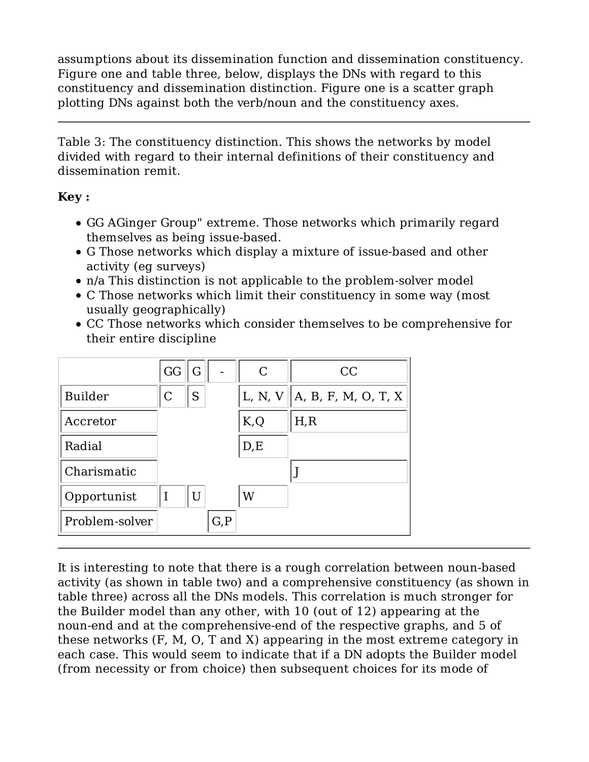assumptions about its dissemination function and dissemination constituency. Figure one and table three, below, displays the DNs with regard to this constituency and dissemination distinction. Figure one is a scatter graph plotting DNs against both the verb/noun and the constituency axes.

Table 3: The constituency distinction. This shows the networks by model divided with regard to their internal definitions of their constituency and dissemination remit.

#### **Key :**

- GG AGinger Group" extreme. Those networks which primarily regard themselves as being issue-based.
- G Those networks which display a mixture of issue-based and other activity (eg surveys)
- n/a This distinction is not applicable to the problem-solver model
- C Those networks which limit their constituency in some way (most usually geographically)
- CC Those networks which consider themselves to be comprehensive for their entire discipline



It is interesting to note that there is a rough correlation between noun-based activity (as shown in table two) and a comprehensive constituency (as shown in table three) across all the DNs models. This correlation is much stronger for the Builder model than any other, with 10 (out of 12) appearing at the noun-end and at the comprehensive-end of the respective graphs, and 5 of these networks (F, M, O, T and X) appearing in the most extreme category in each case. This would seem to indicate that if a DN adopts the Builder model (from necessity or from choice) then subsequent choices for its mode of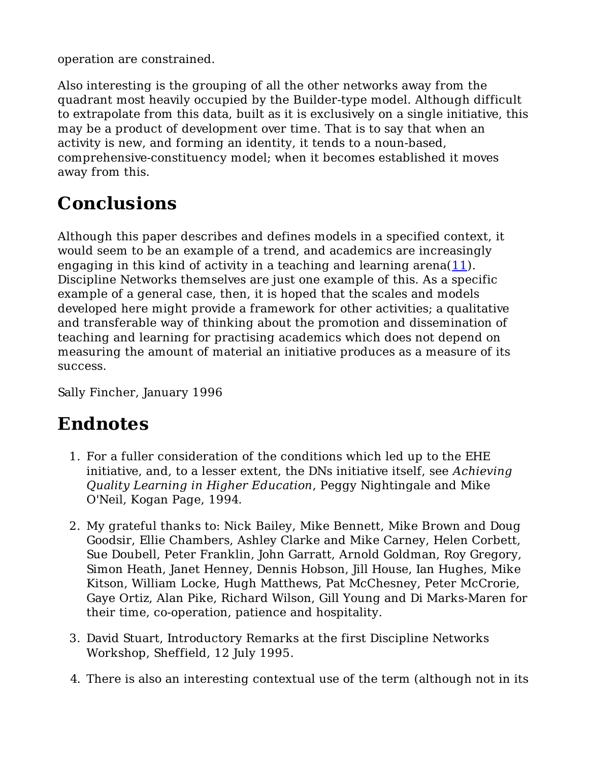operation are constrained.

Also interesting is the grouping of all the other networks away from the quadrant most heavily occupied by the Builder-type model. Although difficult to extrapolate from this data, built as it is exclusively on a single initiative, this may be a product of development over time. That is to say that when an activity is new, and forming an identity, it tends to a noun-based, comprehensive-constituency model; when it becomes established it moves away from this.

# **Conclusions**

Although this paper describes and defines models in a specified context, it would seem to be an example of a trend, and academics are increasingly engaging in this kind of activity in a teaching and learning arena(11). Discipline Networks themselves are just one example of this. As a specific example of a general case, then, it is hoped that the scales and models developed here might provide a framework for other activities; a qualitative and transferable way of thinking about the promotion and dissemination of teaching and learning for practising academics which does not depend on measuring the amount of material an initiative produces as a measure of its success.

Sally Fincher, January 1996

# **Endnotes**

- 1. For a fuller consideration of the conditions which led up to the EHE initiative, and, to a lesser extent, the DNs initiative itself, see *Achieving Quality Learning in Higher Education*, Peggy Nightingale and Mike O'Neil, Kogan Page, 1994.
- My grateful thanks to: Nick Bailey, Mike Bennett, Mike Brown and Doug 2. Goodsir, Ellie Chambers, Ashley Clarke and Mike Carney, Helen Corbett, Sue Doubell, Peter Franklin, John Garratt, Arnold Goldman, Roy Gregory, Simon Heath, Janet Henney, Dennis Hobson, Jill House, Ian Hughes, Mike Kitson, William Locke, Hugh Matthews, Pat McChesney, Peter McCrorie, Gaye Ortiz, Alan Pike, Richard Wilson, Gill Young and Di Marks-Maren for their time, co-operation, patience and hospitality.
- 3. David Stuart, Introductory Remarks at the first Discipline Networks Workshop, Sheffield, 12 July 1995.
- 4. There is also an interesting contextual use of the term (although not in its